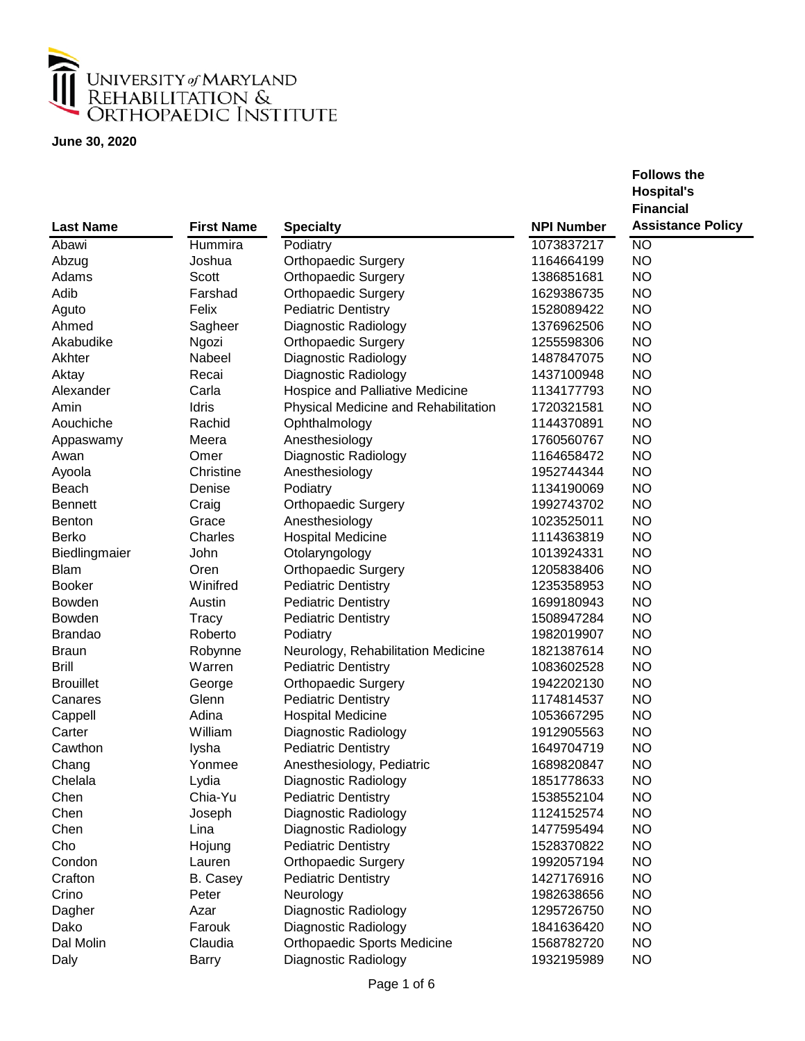

|                  |                   |                                      |                   | <b>Hospital's</b>        |
|------------------|-------------------|--------------------------------------|-------------------|--------------------------|
|                  |                   |                                      |                   | <b>Financial</b>         |
| <b>Last Name</b> | <b>First Name</b> | <b>Specialty</b>                     | <b>NPI Number</b> | <b>Assistance Policy</b> |
| Abawi            | Hummira           | Podiatry                             | 1073837217        | <b>NO</b>                |
| Abzug            | Joshua            | <b>Orthopaedic Surgery</b>           | 1164664199        | <b>NO</b>                |
| Adams            | Scott             | <b>Orthopaedic Surgery</b>           | 1386851681        | <b>NO</b>                |
| Adib             | Farshad           | <b>Orthopaedic Surgery</b>           | 1629386735        | <b>NO</b>                |
| Aguto            | Felix             | <b>Pediatric Dentistry</b>           | 1528089422        | <b>NO</b>                |
| Ahmed            | Sagheer           | Diagnostic Radiology                 | 1376962506        | <b>NO</b>                |
| Akabudike        | Ngozi             | <b>Orthopaedic Surgery</b>           | 1255598306        | <b>NO</b>                |
| Akhter           | Nabeel            | Diagnostic Radiology                 | 1487847075        | <b>NO</b>                |
| Aktay            | Recai             | Diagnostic Radiology                 | 1437100948        | <b>NO</b>                |
| Alexander        | Carla             | Hospice and Palliative Medicine      | 1134177793        | <b>NO</b>                |
| Amin             | Idris             | Physical Medicine and Rehabilitation | 1720321581        | <b>NO</b>                |
| Aouchiche        | Rachid            | Ophthalmology                        | 1144370891        | <b>NO</b>                |
| Appaswamy        | Meera             | Anesthesiology                       | 1760560767        | <b>NO</b>                |
| Awan             | Omer              | Diagnostic Radiology                 | 1164658472        | <b>NO</b>                |
| Ayoola           | Christine         | Anesthesiology                       | 1952744344        | <b>NO</b>                |
| Beach            | Denise            | Podiatry                             | 1134190069        | <b>NO</b>                |
| <b>Bennett</b>   | Craig             | <b>Orthopaedic Surgery</b>           | 1992743702        | <b>NO</b>                |
| <b>Benton</b>    | Grace             | Anesthesiology                       | 1023525011        | <b>NO</b>                |
| <b>Berko</b>     | Charles           | <b>Hospital Medicine</b>             | 1114363819        | <b>NO</b>                |
| Biedlingmaier    | John              | Otolaryngology                       | 1013924331        | <b>NO</b>                |
| <b>Blam</b>      | Oren              | <b>Orthopaedic Surgery</b>           | 1205838406        | <b>NO</b>                |
| <b>Booker</b>    | Winifred          | <b>Pediatric Dentistry</b>           | 1235358953        | <b>NO</b>                |
| <b>Bowden</b>    | Austin            | <b>Pediatric Dentistry</b>           | 1699180943        | <b>NO</b>                |
| <b>Bowden</b>    | Tracy             | <b>Pediatric Dentistry</b>           | 1508947284        | <b>NO</b>                |
| <b>Brandao</b>   | Roberto           | Podiatry                             | 1982019907        | <b>NO</b>                |
| <b>Braun</b>     | Robynne           | Neurology, Rehabilitation Medicine   | 1821387614        | <b>NO</b>                |
| <b>Brill</b>     | Warren            | <b>Pediatric Dentistry</b>           | 1083602528        | <b>NO</b>                |
| <b>Brouillet</b> | George            | <b>Orthopaedic Surgery</b>           | 1942202130        | <b>NO</b>                |
| Canares          | Glenn             | <b>Pediatric Dentistry</b>           | 1174814537        | <b>NO</b>                |
| Cappell          | Adina             | <b>Hospital Medicine</b>             | 1053667295        | <b>NO</b>                |
| Carter           | William           | Diagnostic Radiology                 | 1912905563        | <b>NO</b>                |
| Cawthon          | lysha             | <b>Pediatric Dentistry</b>           | 1649704719        | <b>NO</b>                |
| Chang            | Yonmee            | Anesthesiology, Pediatric            | 1689820847        | <b>NO</b>                |
| Chelala          | Lydia             | Diagnostic Radiology                 | 1851778633        | NO                       |
| Chen             | Chia-Yu           | <b>Pediatric Dentistry</b>           | 1538552104        | <b>NO</b>                |
| Chen             | Joseph            | Diagnostic Radiology                 | 1124152574        | <b>NO</b>                |
| Chen             | Lina              | Diagnostic Radiology                 | 1477595494        | <b>NO</b>                |
| Cho              | Hojung            | <b>Pediatric Dentistry</b>           | 1528370822        | <b>NO</b>                |
| Condon           | Lauren            | <b>Orthopaedic Surgery</b>           | 1992057194        | <b>NO</b>                |
| Crafton          | B. Casey          | <b>Pediatric Dentistry</b>           | 1427176916        | <b>NO</b>                |
| Crino            | Peter             | Neurology                            | 1982638656        | <b>NO</b>                |
| Dagher           | Azar              | Diagnostic Radiology                 | 1295726750        | <b>NO</b>                |
| Dako             | Farouk            | Diagnostic Radiology                 | 1841636420        | <b>NO</b>                |
| Dal Molin        | Claudia           | <b>Orthopaedic Sports Medicine</b>   | 1568782720        | <b>NO</b>                |
| Daly             | <b>Barry</b>      | Diagnostic Radiology                 | 1932195989        | <b>NO</b>                |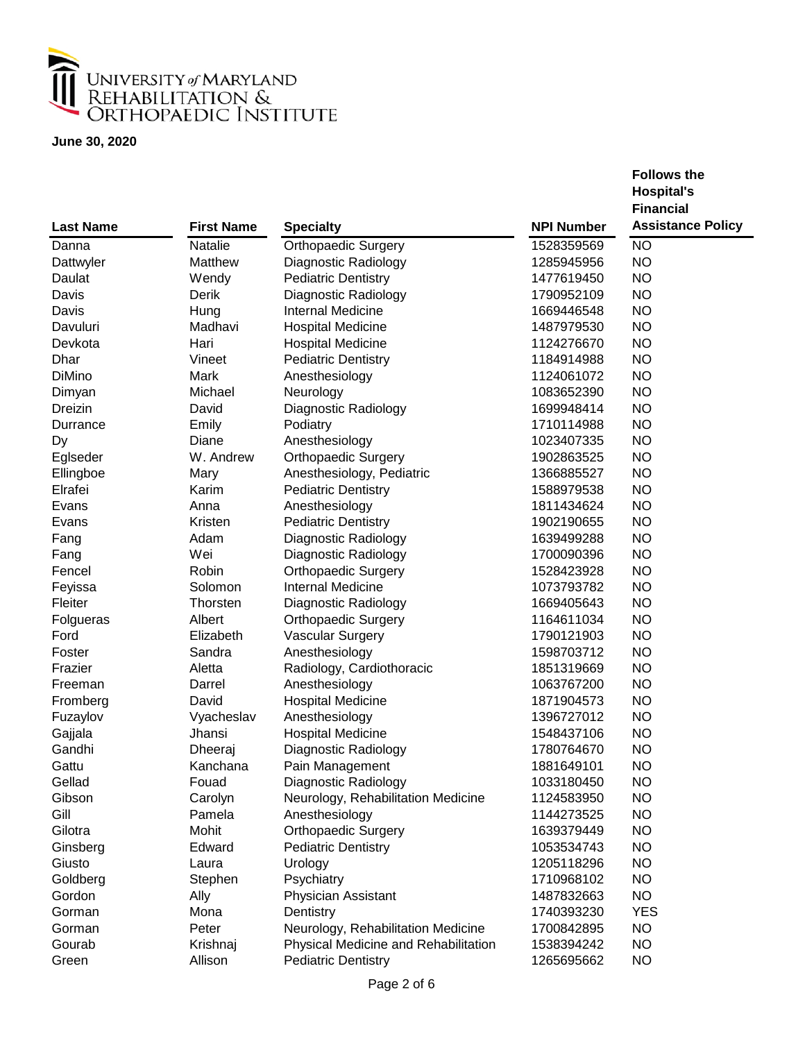

|                  |                   |                                      |                   | <b>Hospital's</b>        |
|------------------|-------------------|--------------------------------------|-------------------|--------------------------|
|                  |                   |                                      |                   | <b>Financial</b>         |
| <b>Last Name</b> | <b>First Name</b> | <b>Specialty</b>                     | <b>NPI Number</b> | <b>Assistance Policy</b> |
| Danna            | Natalie           | <b>Orthopaedic Surgery</b>           | 1528359569        | <b>NO</b>                |
| Dattwyler        | Matthew           | Diagnostic Radiology                 | 1285945956        | <b>NO</b>                |
| Daulat           | Wendy             | <b>Pediatric Dentistry</b>           | 1477619450        | <b>NO</b>                |
| Davis            | Derik             | Diagnostic Radiology                 | 1790952109        | <b>NO</b>                |
| Davis            | Hung              | <b>Internal Medicine</b>             | 1669446548        | <b>NO</b>                |
| Davuluri         | Madhavi           | <b>Hospital Medicine</b>             | 1487979530        | <b>NO</b>                |
| Devkota          | Hari              | <b>Hospital Medicine</b>             | 1124276670        | <b>NO</b>                |
| Dhar             | Vineet            | <b>Pediatric Dentistry</b>           | 1184914988        | <b>NO</b>                |
| <b>DiMino</b>    | Mark              | Anesthesiology                       | 1124061072        | <b>NO</b>                |
| Dimyan           | Michael           | Neurology                            | 1083652390        | <b>NO</b>                |
| Dreizin          | David             | Diagnostic Radiology                 | 1699948414        | <b>NO</b>                |
| Durrance         | Emily             | Podiatry                             | 1710114988        | <b>NO</b>                |
| Dy               | Diane             | Anesthesiology                       | 1023407335        | <b>NO</b>                |
| Eglseder         | W. Andrew         | <b>Orthopaedic Surgery</b>           | 1902863525        | <b>NO</b>                |
| Ellingboe        | Mary              | Anesthesiology, Pediatric            | 1366885527        | <b>NO</b>                |
| Elrafei          | Karim             | <b>Pediatric Dentistry</b>           | 1588979538        | <b>NO</b>                |
| Evans            | Anna              | Anesthesiology                       | 1811434624        | <b>NO</b>                |
| Evans            | Kristen           | <b>Pediatric Dentistry</b>           | 1902190655        | <b>NO</b>                |
| Fang             | Adam              | Diagnostic Radiology                 | 1639499288        | <b>NO</b>                |
| Fang             | Wei               | Diagnostic Radiology                 | 1700090396        | <b>NO</b>                |
| Fencel           | Robin             | <b>Orthopaedic Surgery</b>           | 1528423928        | <b>NO</b>                |
| Feyissa          | Solomon           | <b>Internal Medicine</b>             | 1073793782        | <b>NO</b>                |
| Fleiter          | Thorsten          | Diagnostic Radiology                 | 1669405643        | <b>NO</b>                |
| Folgueras        | Albert            | <b>Orthopaedic Surgery</b>           | 1164611034        | <b>NO</b>                |
| Ford             | Elizabeth         | Vascular Surgery                     | 1790121903        | <b>NO</b>                |
| Foster           | Sandra            | Anesthesiology                       | 1598703712        | <b>NO</b>                |
| Frazier          | Aletta            | Radiology, Cardiothoracic            | 1851319669        | <b>NO</b>                |
| Freeman          | Darrel            | Anesthesiology                       | 1063767200        | <b>NO</b>                |
| Fromberg         | David             | <b>Hospital Medicine</b>             | 1871904573        | <b>NO</b>                |
| Fuzaylov         | Vyacheslav        | Anesthesiology                       | 1396727012        | <b>NO</b>                |
| Gajjala          | Jhansi            | <b>Hospital Medicine</b>             | 1548437106        | <b>NO</b>                |
| Gandhi           | Dheeraj           | Diagnostic Radiology                 | 1780764670        | <b>NO</b>                |
| Gattu            | Kanchana          | Pain Management                      | 1881649101        | <b>NO</b>                |
| Gellad           | Fouad             | Diagnostic Radiology                 | 1033180450        | <b>NO</b>                |
| Gibson           | Carolyn           | Neurology, Rehabilitation Medicine   | 1124583950        | <b>NO</b>                |
| Gill             | Pamela            | Anesthesiology                       | 1144273525        | <b>NO</b>                |
| Gilotra          | Mohit             | <b>Orthopaedic Surgery</b>           | 1639379449        | <b>NO</b>                |
| Ginsberg         | Edward            | <b>Pediatric Dentistry</b>           | 1053534743        | NO.                      |
|                  |                   |                                      |                   |                          |
| Giusto           | Laura             | Urology                              | 1205118296        | NO.                      |
| Goldberg         | Stephen           | Psychiatry                           | 1710968102        | <b>NO</b>                |
| Gordon           | Ally              | Physician Assistant                  | 1487832663        | NO.                      |
| Gorman           | Mona              | Dentistry                            | 1740393230        | <b>YES</b>               |
| Gorman           | Peter             | Neurology, Rehabilitation Medicine   | 1700842895        | NO.                      |
| Gourab           | Krishnaj          | Physical Medicine and Rehabilitation | 1538394242        | <b>NO</b>                |
| Green            | Allison           | <b>Pediatric Dentistry</b>           | 1265695662        | <b>NO</b>                |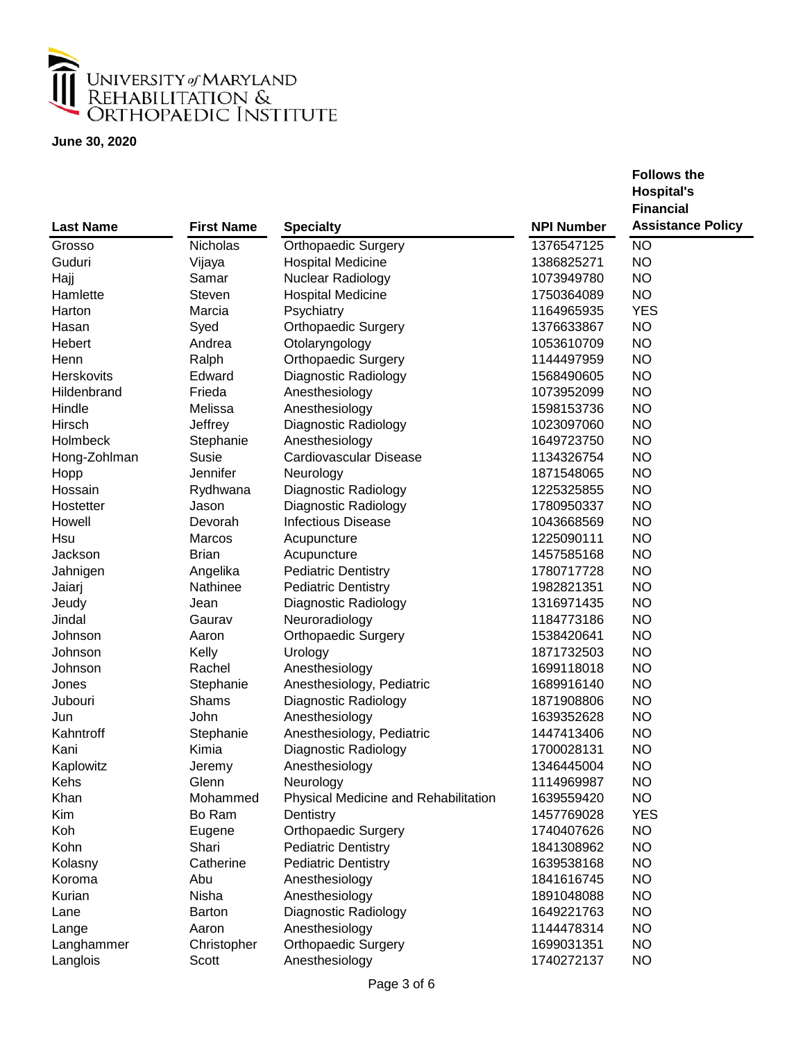

|                   |                   |                                      |                   | <b>Hospital's</b>        |
|-------------------|-------------------|--------------------------------------|-------------------|--------------------------|
|                   |                   |                                      |                   | <b>Financial</b>         |
| <b>Last Name</b>  | <b>First Name</b> | <b>Specialty</b>                     | <b>NPI Number</b> | <b>Assistance Policy</b> |
| Grosso            | Nicholas          | <b>Orthopaedic Surgery</b>           | 1376547125        | <b>NO</b>                |
| Guduri            | Vijaya            | <b>Hospital Medicine</b>             | 1386825271        | <b>NO</b>                |
| Hajj              | Samar             | Nuclear Radiology                    | 1073949780        | <b>NO</b>                |
| Hamlette          | Steven            | <b>Hospital Medicine</b>             | 1750364089        | <b>NO</b>                |
| Harton            | Marcia            | Psychiatry                           | 1164965935        | <b>YES</b>               |
| Hasan             | Syed              | <b>Orthopaedic Surgery</b>           | 1376633867        | <b>NO</b>                |
| Hebert            | Andrea            | Otolaryngology                       | 1053610709        | <b>NO</b>                |
| Henn              | Ralph             | Orthopaedic Surgery                  | 1144497959        | <b>NO</b>                |
| <b>Herskovits</b> | Edward            | Diagnostic Radiology                 | 1568490605        | <b>NO</b>                |
| Hildenbrand       | Frieda            | Anesthesiology                       | 1073952099        | <b>NO</b>                |
| Hindle            | Melissa           | Anesthesiology                       | 1598153736        | <b>NO</b>                |
| Hirsch            | Jeffrey           | Diagnostic Radiology                 | 1023097060        | <b>NO</b>                |
| Holmbeck          | Stephanie         | Anesthesiology                       | 1649723750        | <b>NO</b>                |
| Hong-Zohlman      | <b>Susie</b>      | Cardiovascular Disease               | 1134326754        | <b>NO</b>                |
| Hopp              | Jennifer          | Neurology                            | 1871548065        | <b>NO</b>                |
| Hossain           | Rydhwana          | Diagnostic Radiology                 | 1225325855        | <b>NO</b>                |
| Hostetter         | Jason             | Diagnostic Radiology                 | 1780950337        | <b>NO</b>                |
| Howell            | Devorah           | <b>Infectious Disease</b>            | 1043668569        | <b>NO</b>                |
| Hsu               | Marcos            | Acupuncture                          | 1225090111        | <b>NO</b>                |
| Jackson           | <b>Brian</b>      | Acupuncture                          | 1457585168        | <b>NO</b>                |
| Jahnigen          | Angelika          | <b>Pediatric Dentistry</b>           | 1780717728        | <b>NO</b>                |
| Jaiarj            | Nathinee          | <b>Pediatric Dentistry</b>           | 1982821351        | <b>NO</b>                |
| Jeudy             | Jean              | Diagnostic Radiology                 | 1316971435        | <b>NO</b>                |
| Jindal            | Gaurav            | Neuroradiology                       | 1184773186        | <b>NO</b>                |
| Johnson           | Aaron             | <b>Orthopaedic Surgery</b>           | 1538420641        | <b>NO</b>                |
| Johnson           | Kelly             | Urology                              | 1871732503        | <b>NO</b>                |
| Johnson           | Rachel            | Anesthesiology                       | 1699118018        | <b>NO</b>                |
| Jones             | Stephanie         | Anesthesiology, Pediatric            | 1689916140        | <b>NO</b>                |
| Jubouri           | Shams             | Diagnostic Radiology                 | 1871908806        | <b>NO</b>                |
| Jun               | John              | Anesthesiology                       | 1639352628        | <b>NO</b>                |
| Kahntroff         | Stephanie         | Anesthesiology, Pediatric            | 1447413406        | <b>NO</b>                |
| Kani              | Kimia             | Diagnostic Radiology                 | 1700028131        | <b>NO</b>                |
| Kaplowitz         | Jeremy            | Anesthesiology                       | 1346445004        | <b>NO</b>                |
| Kehs              | Glenn             | Neurology                            | 1114969987        | <b>NO</b>                |
| Khan              | Mohammed          | Physical Medicine and Rehabilitation | 1639559420        | <b>NO</b>                |
| Kim               | Bo Ram            | Dentistry                            | 1457769028        | <b>YES</b>               |
| Koh               | Eugene            | Orthopaedic Surgery                  | 1740407626        | NO.                      |
| Kohn              | Shari             | <b>Pediatric Dentistry</b>           | 1841308962        | <b>NO</b>                |
| Kolasny           | Catherine         | <b>Pediatric Dentistry</b>           | 1639538168        | <b>NO</b>                |
| Koroma            | Abu               | Anesthesiology                       | 1841616745        | <b>NO</b>                |
| Kurian            | Nisha             | Anesthesiology                       | 1891048088        | <b>NO</b>                |
| Lane              | <b>Barton</b>     | Diagnostic Radiology                 | 1649221763        | <b>NO</b>                |
| Lange             | Aaron             | Anesthesiology                       | 1144478314        | <b>NO</b>                |
| Langhammer        | Christopher       | <b>Orthopaedic Surgery</b>           | 1699031351        | <b>NO</b>                |
| Langlois          | Scott             | Anesthesiology                       | 1740272137        | <b>NO</b>                |
|                   |                   |                                      |                   |                          |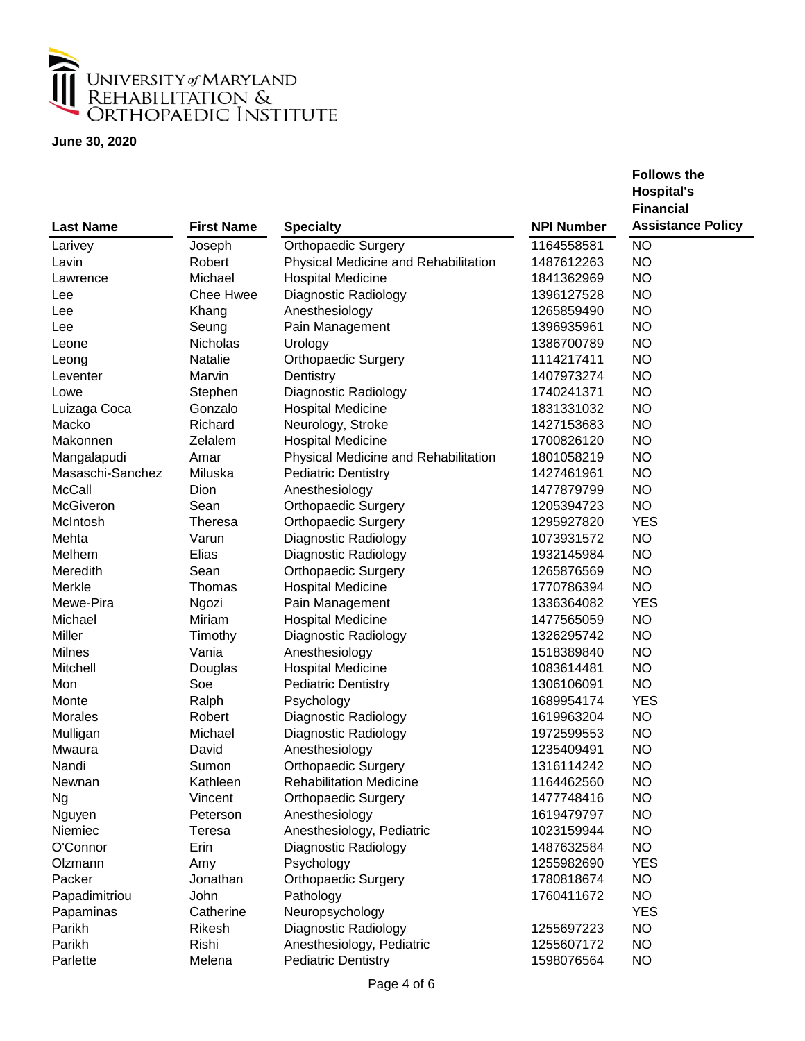

|                  |                   |                                      |                   | <b>Hospital's</b>        |
|------------------|-------------------|--------------------------------------|-------------------|--------------------------|
|                  |                   |                                      |                   | <b>Financial</b>         |
| <b>Last Name</b> | <b>First Name</b> | <b>Specialty</b>                     | <b>NPI Number</b> | <b>Assistance Policy</b> |
| Larivey          | Joseph            | Orthopaedic Surgery                  | 1164558581        | <b>NO</b>                |
| Lavin            | Robert            | Physical Medicine and Rehabilitation | 1487612263        | <b>NO</b>                |
| Lawrence         | Michael           | <b>Hospital Medicine</b>             | 1841362969        | <b>NO</b>                |
| Lee              | <b>Chee Hwee</b>  | Diagnostic Radiology                 | 1396127528        | <b>NO</b>                |
| Lee              | Khang             | Anesthesiology                       | 1265859490        | <b>NO</b>                |
| Lee              | Seung             | Pain Management                      | 1396935961        | <b>NO</b>                |
| Leone            | Nicholas          | Urology                              | 1386700789        | <b>NO</b>                |
| Leong            | Natalie           | <b>Orthopaedic Surgery</b>           | 1114217411        | <b>NO</b>                |
| Leventer         | Marvin            | Dentistry                            | 1407973274        | <b>NO</b>                |
| Lowe             | Stephen           | Diagnostic Radiology                 | 1740241371        | <b>NO</b>                |
| Luizaga Coca     | Gonzalo           | <b>Hospital Medicine</b>             | 1831331032        | <b>NO</b>                |
| Macko            | Richard           | Neurology, Stroke                    | 1427153683        | <b>NO</b>                |
| Makonnen         | Zelalem           | <b>Hospital Medicine</b>             | 1700826120        | <b>NO</b>                |
| Mangalapudi      | Amar              | Physical Medicine and Rehabilitation | 1801058219        | <b>NO</b>                |
| Masaschi-Sanchez | Miluska           | <b>Pediatric Dentistry</b>           | 1427461961        | <b>NO</b>                |
| <b>McCall</b>    | Dion              | Anesthesiology                       | 1477879799        | <b>NO</b>                |
| McGiveron        | Sean              | <b>Orthopaedic Surgery</b>           | 1205394723        | <b>NO</b>                |
| McIntosh         | <b>Theresa</b>    | <b>Orthopaedic Surgery</b>           | 1295927820        | <b>YES</b>               |
| Mehta            | Varun             | Diagnostic Radiology                 | 1073931572        | <b>NO</b>                |
| Melhem           | Elias             | Diagnostic Radiology                 | 1932145984        | <b>NO</b>                |
| Meredith         | Sean              | <b>Orthopaedic Surgery</b>           | 1265876569        | <b>NO</b>                |
| Merkle           | Thomas            | <b>Hospital Medicine</b>             | 1770786394        | <b>NO</b>                |
| Mewe-Pira        | Ngozi             | Pain Management                      | 1336364082        | <b>YES</b>               |
| Michael          | Miriam            | <b>Hospital Medicine</b>             | 1477565059        | <b>NO</b>                |
| Miller           | Timothy           | Diagnostic Radiology                 | 1326295742        | <b>NO</b>                |
| Milnes           | Vania             | Anesthesiology                       | 1518389840        | <b>NO</b>                |
| Mitchell         | Douglas           | <b>Hospital Medicine</b>             | 1083614481        | <b>NO</b>                |
| Mon              | Soe               | <b>Pediatric Dentistry</b>           | 1306106091        | <b>NO</b>                |
| Monte            | Ralph             | Psychology                           | 1689954174        | <b>YES</b>               |
| Morales          | Robert            | Diagnostic Radiology                 | 1619963204        | <b>NO</b>                |
| Mulligan         | Michael           | Diagnostic Radiology                 | 1972599553        | <b>NO</b>                |
| Mwaura           | David             | Anesthesiology                       | 1235409491        | <b>NO</b>                |
| Nandi            | Sumon             | <b>Orthopaedic Surgery</b>           | 1316114242        | <b>NO</b>                |
| Newnan           | Kathleen          | <b>Rehabilitation Medicine</b>       | 1164462560        | <b>NO</b>                |
| <b>Ng</b>        | Vincent           | <b>Orthopaedic Surgery</b>           | 1477748416        | <b>NO</b>                |
| Nguyen           | Peterson          | Anesthesiology                       | 1619479797        | NO.                      |
| Niemiec          | Teresa            | Anesthesiology, Pediatric            | 1023159944        | NO.                      |
| O'Connor         | Erin              | Diagnostic Radiology                 | 1487632584        | NO.                      |
| Olzmann          | Amy               | Psychology                           | 1255982690        | <b>YES</b>               |
| Packer           | Jonathan          | <b>Orthopaedic Surgery</b>           | 1780818674        | <b>NO</b>                |
| Papadimitriou    | John              | Pathology                            | 1760411672        | NO.                      |
| Papaminas        | Catherine         | Neuropsychology                      |                   | <b>YES</b>               |
| Parikh           | Rikesh            | Diagnostic Radiology                 | 1255697223        | <b>NO</b>                |
| Parikh           | Rishi             | Anesthesiology, Pediatric            | 1255607172        | <b>NO</b>                |
| Parlette         | Melena            | <b>Pediatric Dentistry</b>           | 1598076564        | NO.                      |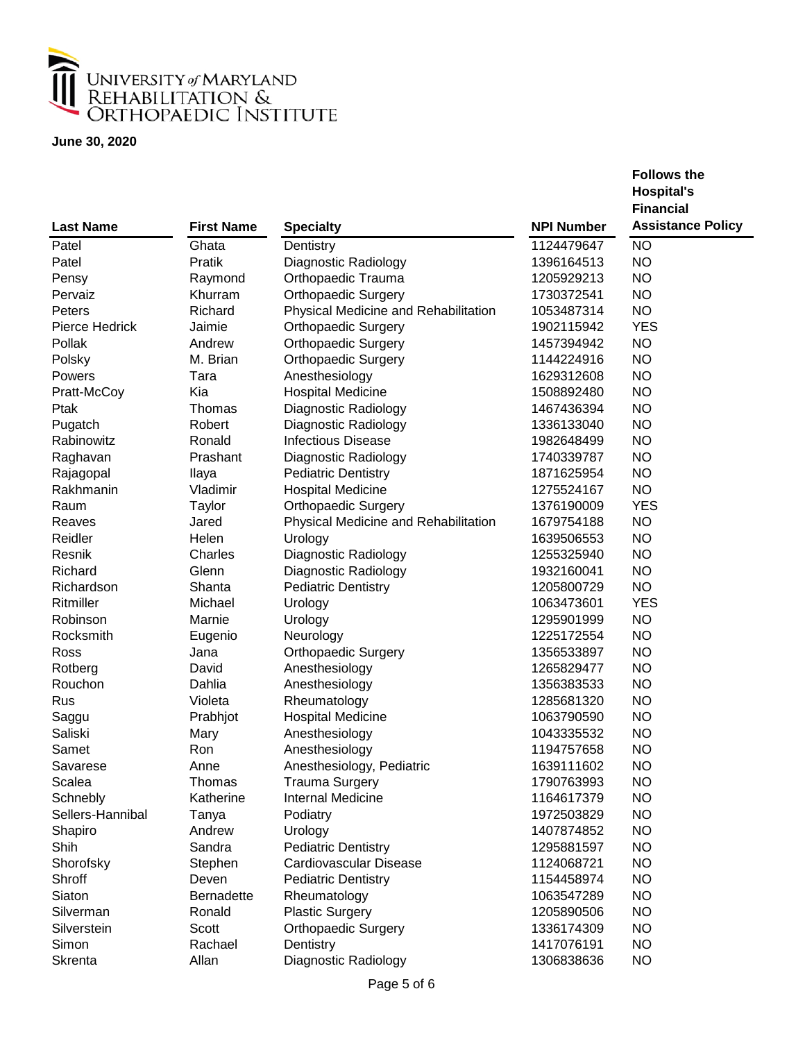

|                          |                             |                                      |                          | <b>Hospital's</b>        |
|--------------------------|-----------------------------|--------------------------------------|--------------------------|--------------------------|
|                          |                             |                                      |                          | <b>Financial</b>         |
| <b>Last Name</b>         | <b>First Name</b>           | <b>Specialty</b>                     | <b>NPI Number</b>        | <b>Assistance Policy</b> |
| Patel                    | Ghata                       | Dentistry                            | 1124479647               | <b>NO</b>                |
| Patel                    | Pratik                      | Diagnostic Radiology                 | 1396164513               | <b>NO</b>                |
| Pensy                    | Raymond                     | Orthopaedic Trauma                   | 1205929213               | <b>NO</b>                |
| Pervaiz                  | Khurram                     | <b>Orthopaedic Surgery</b>           | 1730372541               | <b>NO</b>                |
| Peters                   | Richard                     | Physical Medicine and Rehabilitation | 1053487314               | <b>NO</b>                |
| Pierce Hedrick           | Jaimie                      | <b>Orthopaedic Surgery</b>           | 1902115942               | <b>YES</b>               |
| Pollak                   | Andrew                      | <b>Orthopaedic Surgery</b>           | 1457394942               | <b>NO</b>                |
| Polsky                   | M. Brian                    | <b>Orthopaedic Surgery</b>           | 1144224916               | <b>NO</b>                |
| Powers                   | Tara                        | Anesthesiology                       | 1629312608               | <b>NO</b>                |
| Pratt-McCoy              | Kia                         | <b>Hospital Medicine</b>             | 1508892480               | <b>NO</b>                |
| Ptak                     | Thomas                      | Diagnostic Radiology                 | 1467436394               | <b>NO</b>                |
| Pugatch                  | Robert                      | Diagnostic Radiology                 | 1336133040               | <b>NO</b>                |
| Rabinowitz               | Ronald                      | <b>Infectious Disease</b>            | 1982648499               | <b>NO</b>                |
| Raghavan                 | Prashant                    | Diagnostic Radiology                 | 1740339787               | <b>NO</b>                |
| Rajagopal                | Ilaya                       | <b>Pediatric Dentistry</b>           | 1871625954               | <b>NO</b>                |
| Rakhmanin                | Vladimir                    | <b>Hospital Medicine</b>             | 1275524167               | <b>NO</b>                |
| Raum                     | Taylor                      | <b>Orthopaedic Surgery</b>           | 1376190009               | <b>YES</b>               |
| Reaves                   | Jared                       | Physical Medicine and Rehabilitation | 1679754188               | <b>NO</b>                |
| Reidler                  | Helen                       | Urology                              | 1639506553               | <b>NO</b>                |
| Resnik                   | Charles                     | Diagnostic Radiology                 | 1255325940               | <b>NO</b>                |
| Richard                  | Glenn                       | Diagnostic Radiology                 | 1932160041               | <b>NO</b>                |
| Richardson               | Shanta                      | <b>Pediatric Dentistry</b>           | 1205800729               | <b>NO</b>                |
| Ritmiller                | Michael                     | Urology                              | 1063473601               | <b>YES</b>               |
| Robinson                 | Marnie                      | Urology                              | 1295901999               | <b>NO</b>                |
| Rocksmith                | Eugenio                     | Neurology                            | 1225172554               | <b>NO</b>                |
| Ross                     | Jana                        | <b>Orthopaedic Surgery</b>           | 1356533897               | <b>NO</b>                |
| Rotberg                  | David                       | Anesthesiology                       | 1265829477               | <b>NO</b>                |
| Rouchon                  | Dahlia                      | Anesthesiology                       | 1356383533               | <b>NO</b>                |
| Rus                      | Violeta                     | Rheumatology                         | 1285681320               | <b>NO</b>                |
| Saggu                    | Prabhjot                    | <b>Hospital Medicine</b>             | 1063790590               | <b>NO</b>                |
| Saliski                  | Mary                        | Anesthesiology                       | 1043335532               | <b>NO</b>                |
| Samet                    | Ron                         | Anesthesiology                       | 1194757658               | <b>NO</b>                |
| Savarese                 | Anne                        | Anesthesiology, Pediatric            | 1639111602               | <b>NO</b>                |
| Scalea                   | Thomas                      | <b>Trauma Surgery</b>                | 1790763993               | <b>NO</b>                |
| Schnebly                 | Katherine                   | <b>Internal Medicine</b>             | 1164617379               | <b>NO</b>                |
| Sellers-Hannibal         | Tanya                       | Podiatry                             | 1972503829               | <b>NO</b>                |
| Shapiro                  | Andrew                      | Urology                              | 1407874852               | <b>NO</b>                |
| Shih                     | Sandra                      | <b>Pediatric Dentistry</b>           | 1295881597               | <b>NO</b>                |
| Shorofsky                | Stephen                     | Cardiovascular Disease               | 1124068721               | <b>NO</b>                |
| Shroff                   | Deven                       |                                      | 1154458974               | <b>NO</b>                |
|                          |                             | <b>Pediatric Dentistry</b>           |                          |                          |
| Siaton                   | <b>Bernadette</b><br>Ronald | Rheumatology                         | 1063547289<br>1205890506 | <b>NO</b>                |
| Silverman<br>Silverstein |                             | <b>Plastic Surgery</b>               |                          | <b>NO</b>                |
|                          | Scott                       | <b>Orthopaedic Surgery</b>           | 1336174309               | <b>NO</b>                |
| Simon                    | Rachael                     | Dentistry                            | 1417076191               | <b>NO</b>                |
| Skrenta                  | Allan                       | Diagnostic Radiology                 | 1306838636               | <b>NO</b>                |